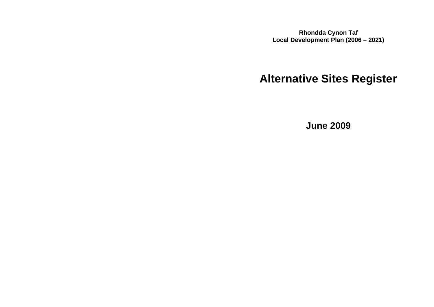**Rhondda Cynon Taf Local Development Plan (2006 – 2021)**

# **Alternative Sites Register**

**June 2009**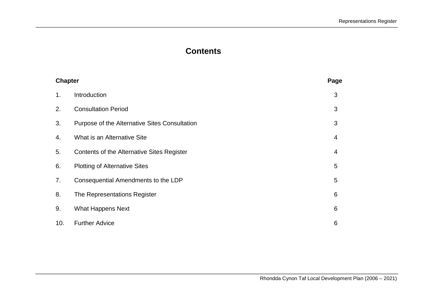# **Contents**

| <b>Chapter</b> |                                               | Page |
|----------------|-----------------------------------------------|------|
| 1.             | Introduction                                  | 3    |
| 2.             | <b>Consultation Period</b>                    | 3    |
| 3.             | Purpose of the Alternative Sites Consultation | 3    |
| 4.             | What is an Alternative Site                   | 4    |
| 5.             | Contents of the Alternative Sites Register    | 4    |
| 6.             | <b>Plotting of Alternative Sites</b>          | 5    |
| 7.             | Consequential Amendments to the LDP           | 5    |
| 8.             | The Representations Register                  | 6    |
| 9.             | <b>What Happens Next</b>                      | 6    |
| 10.            | <b>Further Advice</b>                         | 6    |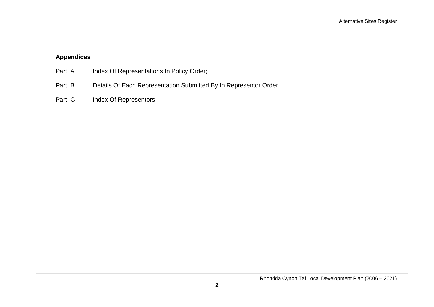# **Appendices**

| Part A | Index Of Representations In Policy Order;                        |
|--------|------------------------------------------------------------------|
| Part B | Details Of Each Representation Submitted By In Representor Order |
| Part C | Index Of Representors                                            |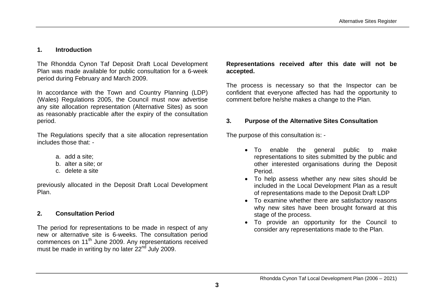#### **1. Introduction**

The Rhondda Cynon Taf Deposit Draft Local Development Plan was made available for public consultation for a 6-week period during February and March 2009.

In accordance with the Town and Country Planning (LDP) (Wales) Regulations 2005, the Council must now advertise any site allocation representation (Alternative Sites) as soon as reasonably practicable after the expiry of the consultation period.

The Regulations specify that a site allocation representation includes those that: -

- a. add a site;
- b. alter a site; or
- c. delete a site

previously allocated in the Deposit Draft Local Development Plan.

#### **2. Consultation Period**

The period for representations to be made in respect of any new or alternative site is 6-weeks. The consultation period commences on 11<sup>th</sup> June 2009. Any representations received must be made in writing by no later 22<sup>nd</sup> July 2009.

**Representations received after this date will not be accepted.** 

The process is necessary so that the Inspector can be confident that everyone affected has had the opportunity to comment before he/she makes a change to the Plan.

#### **3. Purpose of the Alternative Sites Consultation**

The purpose of this consultation is: -

- To enable the general public to make representations to sites submitted by the public and other interested organisations during the Deposit Period.
- To help assess whether any new sites should be included in the Local Development Plan as a result of representations made to the Deposit Draft LDP
- To examine whether there are satisfactory reasons why new sites have been brought forward at this stage of the process.
- To provide an opportunity for the Council to consider any representations made to the Plan.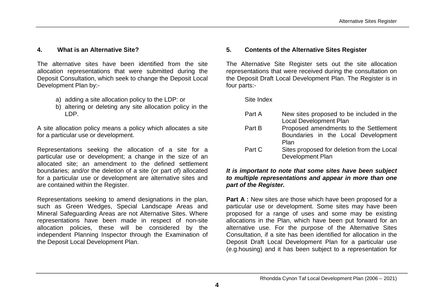#### **4. What is an Alternative Site?**

The alternative sites have been identified from the site allocation representations that were submitted during the Deposit Consultation, which seek to change the Deposit Local Development Plan by:-

- a) adding a site allocation policy to the LDP: or
- b) altering or deleting any site allocation policy in the LDP.

A site allocation policy means a policy which allocates a site for a particular use or development.

Representations seeking the allocation of a site for a particular use or development; a change in the size of an allocated site; an amendment to the defined settlement boundaries; and/or the deletion of a site (or part of) allocated for a particular use or development are alternative sites and are contained within the Register.

Representations seeking to amend designations in the plan, such as Green Wedges, Special Landscape Areas and Mineral Safeguarding Areas are not Alternative Sites. Where representations have been made in respect of non-site allocation policies, these will be considered by the independent Planning Inspector through the Examination of the Deposit Local Development Plan.

#### **5. Contents of the Alternative Sites Register**

The Alternative Site Register sets out the site allocation representations that were received during the consultation on the Deposit Draft Local Development Plan. The Register is in four parts:-

Site Index

| Part A | New sites proposed to be included in the<br>Local Development Plan |
|--------|--------------------------------------------------------------------|
|        |                                                                    |
| Part B | Proposed amendments to the Settlement                              |
|        | Boundaries in the Local Development                                |
|        | Plan                                                               |
| Part C | Sites proposed for deletion from the Local                         |
|        | Development Plan                                                   |

#### *It is important to note that some sites have been subject to multiple representations and appear in more than one part of the Register.*

**Part A :** New sites are those which have been proposed for a particular use or development. Some sites may have been proposed for a range of uses and some may be existing allocations in the Plan, which have been put forward for an alternative use. For the purpose of the Alternative Sites Consultation, if a site has been identified for allocation in the Deposit Draft Local Development Plan for a particular use (e.g.housing) and it has been subject to a representation for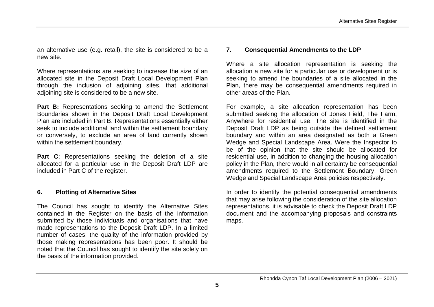an alternative use (e.g. retail), the site is considered to be a new site.

Where representations are seeking to increase the size of an allocated site in the Deposit Draft Local Development Plan through the inclusion of adjoining sites, that additional adjoining site is considered to be a new site.

Part B: Representations seeking to amend the Settlement Boundaries shown in the Deposit Draft Local Development Plan are included in Part B. Representations essentially either seek to include additional land within the settlement boundary or conversely, to exclude an area of land currently shown within the settlement boundary.

**Part C:** Representations seeking the deletion of a site allocated for a particular use in the Deposit Draft LDP are included in Part C of the register.

#### **6. Plotting of Alternative Sites**

The Council has sought to identify the Alternative Sites contained in the Register on the basis of the information submitted by those individuals and organisations that have made representations to the Deposit Draft LDP. In a limited number of cases, the quality of the information provided by those making representations has been poor. It should be noted that the Council has sought to identify the site solely on the basis of the information provided.

#### **7. Consequential Amendments to the LDP**

Where a site allocation representation is seeking the allocation a new site for a particular use or development or is seeking to amend the boundaries of a site allocated in the Plan, there may be consequential amendments required in other areas of the Plan.

For example, a site allocation representation has been submitted seeking the allocation of Jones Field, The Farm, Anywhere for residential use. The site is identified in the Deposit Draft LDP as being outside the defined settlement boundary and within an area designated as both a Green Wedge and Special Landscape Area. Were the Inspector to be of the opinion that the site should be allocated for residential use, in addition to changing the housing allocation policy in the Plan, there would in all certainty be consequential amendments required to the Settlement Boundary, Green Wedge and Special Landscape Area policies respectively.

In order to identify the potential consequential amendments that may arise following the consideration of the site allocation representations, it is advisable to check the Deposit Draft LDP document and the accompanying proposals and constraints maps.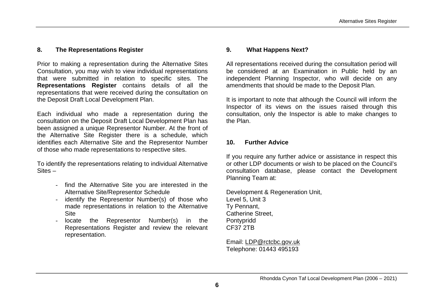#### **8. The Representations Register**

Prior to making a representation during the Alternative Sites Consultation, you may wish to view individual representations that were submitted in relation to specific sites. The **Representations Register** contains details of all the representations that were received during the consultation on the Deposit Draft Local Development Plan.

Each individual who made a representation during the consultation on the Deposit Draft Local Development Plan has been assigned a unique Representor Number. At the front of the Alternative Site Register there is a schedule, which identifies each Alternative Site and the Representor Number of those who made representations to respective sites.

To identify the representations relating to individual Alternative Sites –

- find the Alternative Site you are interested in the Alternative Site/Representor Schedule
- identify the Representor Number(s) of those who made representations in relation to the Alternative **Site**
- locate the Representor Number(s) in the Representations Register and review the relevant representation.

#### **9. What Happens Next?**

All representations received during the consultation period will be considered at an Examination in Public held by an independent Planning Inspector, who will decide on any amendments that should be made to the Deposit Plan.

It is important to note that although the Council will inform the Inspector of its views on the issues raised through this consultation, only the Inspector is able to make changes to the Plan.

#### **10. Further Advice**

If you require any further advice or assistance in respect this or other LDP documents or wish to be placed on the Council's consultation database, please contact the Development Planning Team at:

Development & Regeneration Unit, Level 5, Unit 3 Ty Pennant, Catherine Street, Pontypridd CF37 2TB

Email: LDP@rctcbc.gov.uk Telephone: 01443 495193